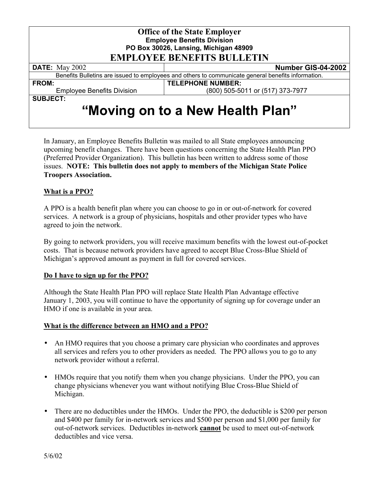| <b>Office of the State Employer</b><br><b>Employee Benefits Division</b><br>PO Box 30026, Lansing, Michigan 48909<br><b>EMPLOYEE BENEFITS BULLETIN</b> |                                  |
|--------------------------------------------------------------------------------------------------------------------------------------------------------|----------------------------------|
| <b>DATE:</b> May 2002                                                                                                                                  | Number GIS-04-2002               |
| Benefits Bulletins are issued to employees and others to communicate general benefits information.                                                     |                                  |
| <b>FROM:</b>                                                                                                                                           | <b>TELEPHONE NUMBER:</b>         |
| <b>Employee Benefits Division</b>                                                                                                                      | (800) 505-5011 or (517) 373-7977 |
| <b>SUBJECT:</b>                                                                                                                                        |                                  |
| "Moving on to a New Health Plan"                                                                                                                       |                                  |

In January, an Employee Benefits Bulletin was mailed to all State employees announcing upcoming benefit changes. There have been questions concerning the State Health Plan PPO (Preferred Provider Organization). This bulletin has been written to address some of those issues. **NOTE: This bulletin does not apply to members of the Michigan State Police Troopers Association.** 

### **What is a PPO?**

A PPO is a health benefit plan where you can choose to go in or out-of-network for covered services. A network is a group of physicians, hospitals and other provider types who have agreed to join the network.

By going to network providers, you will receive maximum benefits with the lowest out-of-pocket costs. That is because network providers have agreed to accept Blue Cross-Blue Shield of Michigan's approved amount as payment in full for covered services.

### **Do I have to sign up for the PPO?**

Although the State Health Plan PPO will replace State Health Plan Advantage effective January 1, 2003, you will continue to have the opportunity of signing up for coverage under an HMO if one is available in your area.

### **What is the difference between an HMO and a PPO?**

- An HMO requires that you choose a primary care physician who coordinates and approves all services and refers you to other providers as needed. The PPO allows you to go to any network provider without a referral.
- HMOs require that you notify them when you change physicians. Under the PPO, you can change physicians whenever you want without notifying Blue Cross-Blue Shield of Michigan.
- There are no deductibles under the HMOs. Under the PPO, the deductible is \$200 per person and \$400 per family for in-network services and \$500 per person and \$1,000 per family for out-of-network services. Deductibles in-network **cannot** be used to meet out-of-network deductibles and vice versa.